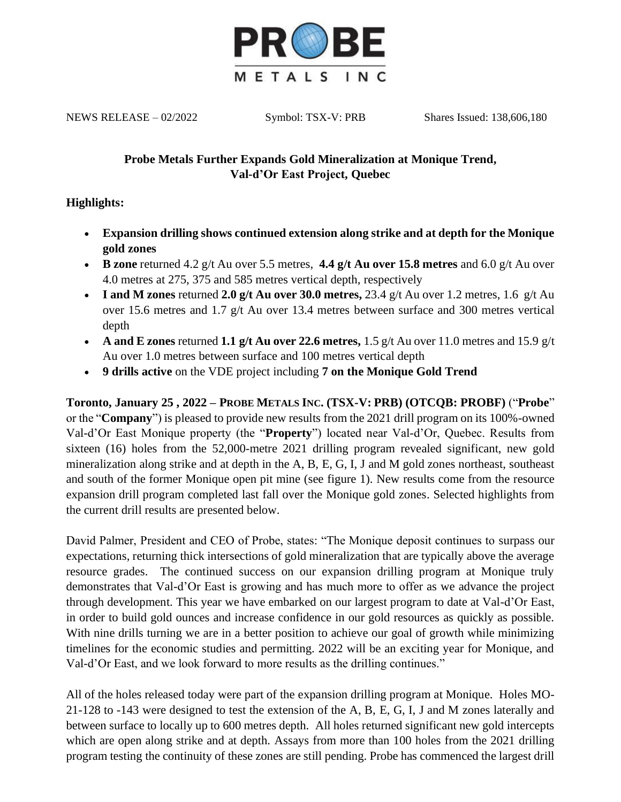

NEWS RELEASE – 02/2022 Symbol: TSX-V: PRB Shares Issued: 138,606,180

# **Probe Metals Further Expands Gold Mineralization at Monique Trend, Val-d'Or East Project, Quebec**

## **Highlights:**

- **Expansion drilling shows continued extension along strike and at depth for the Monique gold zones**
- **B zone** returned 4.2 g/t Au over 5.5 metres, **4.4 g/t Au over 15.8 metres** and 6.0 g/t Au over 4.0 metres at 275, 375 and 585 metres vertical depth, respectively
- **I and M zones** returned **2.0 g/t Au over 30.0 metres,** 23.4 g/t Au over 1.2 metres, 1.6 g/t Au over 15.6 metres and 1.7 g/t Au over 13.4 metres between surface and 300 metres vertical depth
- **A and E zones** returned **1.1 g/t Au over 22.6 metres,** 1.5 g/t Au over 11.0 metres and 15.9 g/t Au over 1.0 metres between surface and 100 metres vertical depth
- **9 drills active** on the VDE project including **7 on the Monique Gold Trend**

**Toronto, January 25 , 2022 – PROBE METALS INC. (TSX-V: PRB) (OTCQB: PROBF)** ("**Probe**" or the "**Company**") is pleased to provide new results from the 2021 drill program on its 100%-owned Val-d'Or East Monique property (the "**Property**") located near Val-d'Or, Quebec. Results from sixteen (16) holes from the 52,000-metre 2021 drilling program revealed significant, new gold mineralization along strike and at depth in the A, B, E, G, I, J and M gold zones northeast, southeast and south of the former Monique open pit mine (see figure 1). New results come from the resource expansion drill program completed last fall over the Monique gold zones. Selected highlights from the current drill results are presented below.

David Palmer, President and CEO of Probe, states: "The Monique deposit continues to surpass our expectations, returning thick intersections of gold mineralization that are typically above the average resource grades. The continued success on our expansion drilling program at Monique truly demonstrates that Val-d'Or East is growing and has much more to offer as we advance the project through development. This year we have embarked on our largest program to date at Val-d'Or East, in order to build gold ounces and increase confidence in our gold resources as quickly as possible. With nine drills turning we are in a better position to achieve our goal of growth while minimizing timelines for the economic studies and permitting. 2022 will be an exciting year for Monique, and Val-d'Or East, and we look forward to more results as the drilling continues."

All of the holes released today were part of the expansion drilling program at Monique. Holes MO-21-128 to -143 were designed to test the extension of the A, B, E, G, I, J and M zones laterally and between surface to locally up to 600 metres depth. All holes returned significant new gold intercepts which are open along strike and at depth. Assays from more than 100 holes from the 2021 drilling program testing the continuity of these zones are still pending. Probe has commenced the largest drill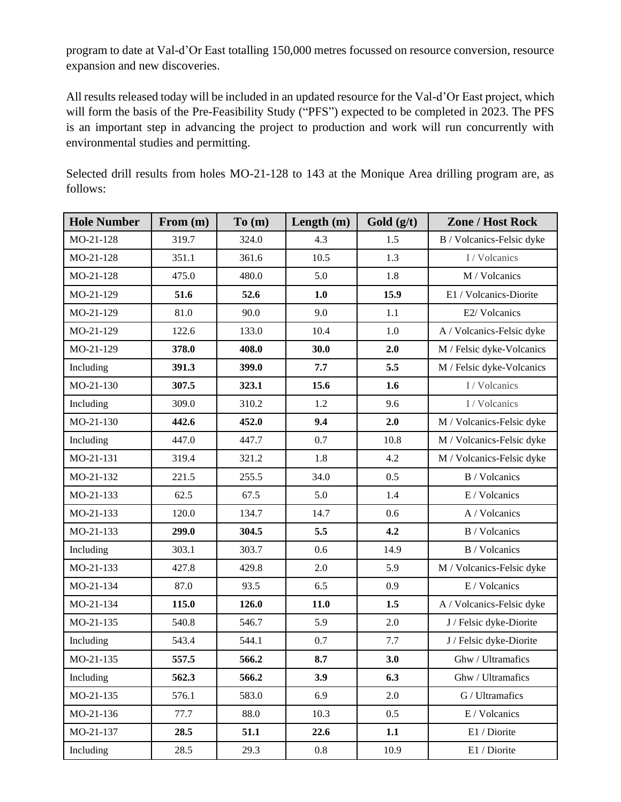program to date at Val-d'Or East totalling 150,000 metres focussed on resource conversion, resource expansion and new discoveries.

All results released today will be included in an updated resource for the Val-d'Or East project, which will form the basis of the Pre-Feasibility Study ("PFS") expected to be completed in 2023. The PFS is an important step in advancing the project to production and work will run concurrently with environmental studies and permitting.

Selected drill results from holes MO-21-128 to 143 at the Monique Area drilling program are, as follows:

| <b>Hole Number</b> | From $(m)$ | To(m) | Length $(m)$ | Gold $(g/t)$ | <b>Zone / Host Rock</b>   |
|--------------------|------------|-------|--------------|--------------|---------------------------|
| MO-21-128          | 319.7      | 324.0 | 4.3          | 1.5          | B / Volcanics-Felsic dyke |
| MO-21-128          | 351.1      | 361.6 | 10.5         | 1.3          | I / Volcanics             |
| MO-21-128          | 475.0      | 480.0 | 5.0          | 1.8          | M / Volcanics             |
| MO-21-129          | 51.6       | 52.6  | 1.0          | 15.9         | E1 / Volcanics-Diorite    |
| MO-21-129          | 81.0       | 90.0  | 9.0          | 1.1          | E2/ Volcanics             |
| MO-21-129          | 122.6      | 133.0 | 10.4         | 1.0          | A / Volcanics-Felsic dyke |
| MO-21-129          | 378.0      | 408.0 | 30.0         | 2.0          | M / Felsic dyke-Volcanics |
| Including          | 391.3      | 399.0 | 7.7          | 5.5          | M / Felsic dyke-Volcanics |
| MO-21-130          | 307.5      | 323.1 | 15.6         | 1.6          | I / Volcanics             |
| Including          | 309.0      | 310.2 | 1.2          | 9.6          | I / Volcanics             |
| MO-21-130          | 442.6      | 452.0 | 9.4          | 2.0          | M / Volcanics-Felsic dyke |
| Including          | 447.0      | 447.7 | 0.7          | 10.8         | M / Volcanics-Felsic dyke |
| MO-21-131          | 319.4      | 321.2 | 1.8          | 4.2          | M / Volcanics-Felsic dyke |
| MO-21-132          | 221.5      | 255.5 | 34.0         | 0.5          | B / Volcanics             |
| MO-21-133          | 62.5       | 67.5  | 5.0          | 1.4          | E / Volcanics             |
| MO-21-133          | 120.0      | 134.7 | 14.7         | 0.6          | A / Volcanics             |
| MO-21-133          | 299.0      | 304.5 | 5.5          | 4.2          | B / Volcanics             |
| Including          | 303.1      | 303.7 | 0.6          | 14.9         | B / Volcanics             |
| MO-21-133          | 427.8      | 429.8 | 2.0          | 5.9          | M / Volcanics-Felsic dyke |
| MO-21-134          | 87.0       | 93.5  | 6.5          | 0.9          | E / Volcanics             |
| MO-21-134          | 115.0      | 126.0 | 11.0         | 1.5          | A / Volcanics-Felsic dyke |
| MO-21-135          | 540.8      | 546.7 | 5.9          | 2.0          | J / Felsic dyke-Diorite   |
| Including          | 543.4      | 544.1 | 0.7          | 7.7          | J / Felsic dyke-Diorite   |
| MO-21-135          | 557.5      | 566.2 | 8.7          | 3.0          | Ghw / Ultramafics         |
| Including          | 562.3      | 566.2 | 3.9          | 6.3          | Ghw / Ultramafics         |
| MO-21-135          | 576.1      | 583.0 | 6.9          | 2.0          | G / Ultramafics           |
| MO-21-136          | 77.7       | 88.0  | 10.3         | 0.5          | E / Volcanics             |
| MO-21-137          | 28.5       | 51.1  | 22.6         | 1.1          | E1 / Diorite              |
| Including          | 28.5       | 29.3  | 0.8          | 10.9         | E1 / Diorite              |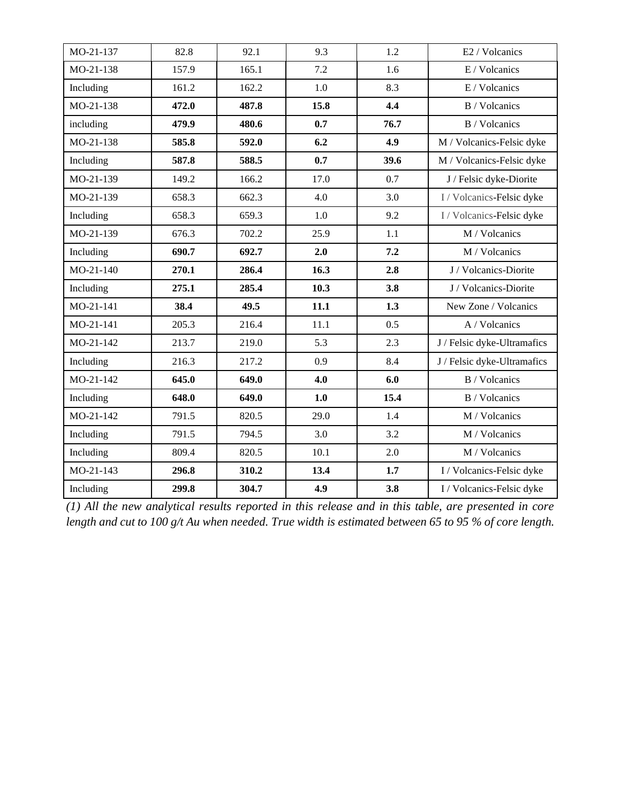| MO-21-137 | 82.8  | 92.1  | 9.3     | 1.2  | E2 / Volcanics              |
|-----------|-------|-------|---------|------|-----------------------------|
| MO-21-138 | 157.9 | 165.1 | 7.2     | 1.6  | E / Volcanics               |
| Including | 161.2 | 162.2 | $1.0\,$ | 8.3  | E / Volcanics               |
| MO-21-138 | 472.0 | 487.8 | 15.8    | 4.4  | <b>B</b> / Volcanics        |
| including | 479.9 | 480.6 | 0.7     | 76.7 | <b>B</b> / Volcanics        |
| MO-21-138 | 585.8 | 592.0 | 6.2     | 4.9  | M / Volcanics-Felsic dyke   |
| Including | 587.8 | 588.5 | 0.7     | 39.6 | M / Volcanics-Felsic dyke   |
| MO-21-139 | 149.2 | 166.2 | 17.0    | 0.7  | J / Felsic dyke-Diorite     |
| MO-21-139 | 658.3 | 662.3 | 4.0     | 3.0  | I / Volcanics-Felsic dyke   |
| Including | 658.3 | 659.3 | $1.0\,$ | 9.2  | I / Volcanics-Felsic dyke   |
| MO-21-139 | 676.3 | 702.2 | 25.9    | 1.1  | M / Volcanics               |
| Including | 690.7 | 692.7 | 2.0     | 7.2  | M / Volcanics               |
| MO-21-140 | 270.1 | 286.4 | 16.3    | 2.8  | J / Volcanics-Diorite       |
| Including | 275.1 | 285.4 | 10.3    | 3.8  | J / Volcanics-Diorite       |
| MO-21-141 | 38.4  | 49.5  | 11.1    | 1.3  | New Zone / Volcanics        |
| MO-21-141 | 205.3 | 216.4 | 11.1    | 0.5  | A / Volcanics               |
| MO-21-142 | 213.7 | 219.0 | 5.3     | 2.3  | J / Felsic dyke-Ultramafics |
| Including | 216.3 | 217.2 | 0.9     | 8.4  | J / Felsic dyke-Ultramafics |
| MO-21-142 | 645.0 | 649.0 | 4.0     | 6.0  | <b>B</b> / Volcanics        |
| Including | 648.0 | 649.0 | 1.0     | 15.4 | B / Volcanics               |
| MO-21-142 | 791.5 | 820.5 | 29.0    | 1.4  | M / Volcanics               |
| Including | 791.5 | 794.5 | 3.0     | 3.2  | M / Volcanics               |
| Including | 809.4 | 820.5 | 10.1    | 2.0  | M / Volcanics               |
| MO-21-143 | 296.8 | 310.2 | 13.4    | 1.7  | I / Volcanics-Felsic dyke   |
| Including | 299.8 | 304.7 | 4.9     | 3.8  | I / Volcanics-Felsic dyke   |

*(1) All the new analytical results reported in this release and in this table, are presented in core length and cut to 100 g/t Au when needed. True width is estimated between 65 to 95 % of core length.*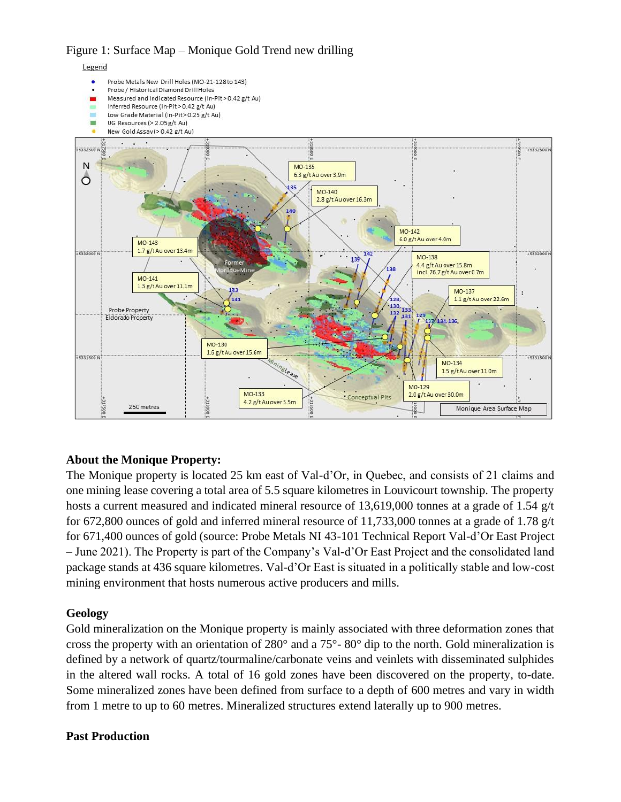Figure 1: Surface Map – Monique Gold Trend new drilling



### **About the Monique Property:**

The Monique property is located 25 km east of Val-d'Or, in Quebec, and consists of 21 claims and one mining lease covering a total area of 5.5 square kilometres in Louvicourt township. The property hosts a current measured and indicated mineral resource of 13,619,000 tonnes at a grade of 1.54 g/t for 672,800 ounces of gold and inferred mineral resource of 11,733,000 tonnes at a grade of 1.78 g/t for 671,400 ounces of gold (source: Probe Metals NI 43-101 Technical Report Val-d'Or East Project – June 2021). The Property is part of the Company's Val-d'Or East Project and the consolidated land package stands at 436 square kilometres. Val-d'Or East is situated in a politically stable and low-cost mining environment that hosts numerous active producers and mills.

#### **Geology**

Gold mineralization on the Monique property is mainly associated with three deformation zones that cross the property with an orientation of 280° and a 75°- 80° dip to the north. Gold mineralization is defined by a network of quartz/tourmaline/carbonate veins and veinlets with disseminated sulphides in the altered wall rocks. A total of 16 gold zones have been discovered on the property, to-date. Some mineralized zones have been defined from surface to a depth of 600 metres and vary in width from 1 metre to up to 60 metres. Mineralized structures extend laterally up to 900 metres.

#### **Past Production**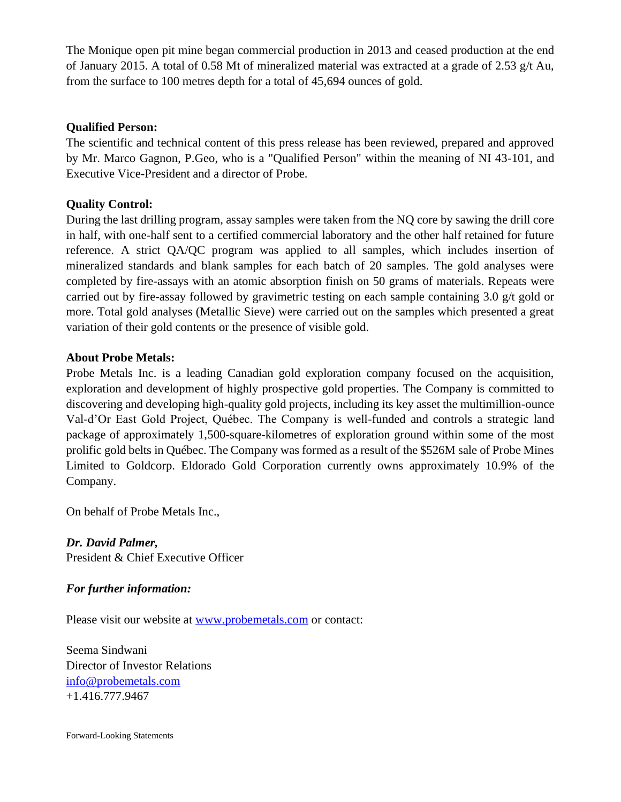The Monique open pit mine began commercial production in 2013 and ceased production at the end of January 2015. A total of 0.58 Mt of mineralized material was extracted at a grade of 2.53 g/t Au, from the surface to 100 metres depth for a total of 45,694 ounces of gold.

### **Qualified Person:**

The scientific and technical content of this press release has been reviewed, prepared and approved by Mr. Marco Gagnon, P.Geo, who is a "Qualified Person" within the meaning of NI 43-101, and Executive Vice-President and a director of Probe.

## **Quality Control:**

During the last drilling program, assay samples were taken from the NQ core by sawing the drill core in half, with one-half sent to a certified commercial laboratory and the other half retained for future reference. A strict QA/QC program was applied to all samples, which includes insertion of mineralized standards and blank samples for each batch of 20 samples. The gold analyses were completed by fire-assays with an atomic absorption finish on 50 grams of materials. Repeats were carried out by fire-assay followed by gravimetric testing on each sample containing 3.0  $g/t$  gold or more. Total gold analyses (Metallic Sieve) were carried out on the samples which presented a great variation of their gold contents or the presence of visible gold.

## **About Probe Metals:**

Probe Metals Inc. is a leading Canadian gold exploration company focused on the acquisition, exploration and development of highly prospective gold properties. The Company is committed to discovering and developing high-quality gold projects, including its key asset the multimillion-ounce Val-d'Or East Gold Project, Québec. The Company is well-funded and controls a strategic land package of approximately 1,500-square-kilometres of exploration ground within some of the most prolific gold belts in Québec. The Company was formed as a result of the \$526M sale of Probe Mines Limited to Goldcorp. Eldorado Gold Corporation currently owns approximately 10.9% of the Company.

On behalf of Probe Metals Inc.,

*Dr. David Palmer,* President & Chief Executive Officer

### *For further information:*

Please visit our website at [www.probemetals.com](http://www.probemetals.com/) or contact:

Seema Sindwani Director of Investor Relations [info@probemetals.com](mailto:info@probemetals.com) +1.416.777.9467